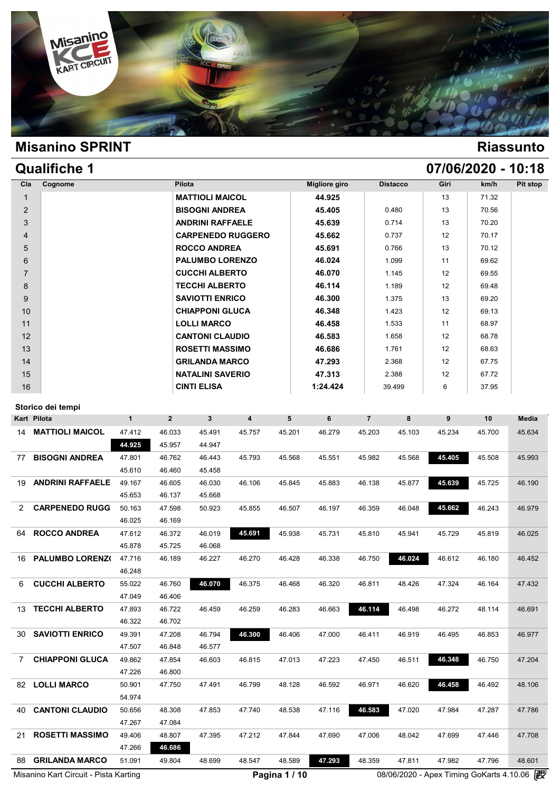

| <b>Qualifiche 1</b> |                         |                          |                      |                 |      | 07/06/2020 - 10:18 |          |
|---------------------|-------------------------|--------------------------|----------------------|-----------------|------|--------------------|----------|
| Cognome<br>Cla      | <b>Pilota</b>           |                          | <b>Migliore giro</b> | <b>Distacco</b> | Giri | km/h               | Pit stop |
| $\mathbf{1}$        | <b>MATTIOLI MAICOL</b>  |                          | 44.925               |                 | 13   | 71.32              |          |
| 2                   | <b>BISOGNI ANDREA</b>   |                          | 45.405               | 0.480           | 13   | 70.56              |          |
| 3                   | <b>ANDRINI RAFFAELE</b> |                          | 45.639               | 0.714           | 13   | 70.20              |          |
| 4                   |                         | <b>CARPENEDO RUGGERO</b> | 45.662               | 0.737           | 12   | 70.17              |          |
| 5                   | <b>ROCCO ANDREA</b>     |                          | 45.691               | 0.766           | 13   | 70.12              |          |
| 6                   |                         | <b>PALUMBO LORENZO</b>   | 46.024               | 1.099           | 11   | 69.62              |          |
| $\overline{7}$      | <b>CUCCHI ALBERTO</b>   |                          | 46.070               | 1.145           | 12   | 69.55              |          |
| 8                   | <b>TECCHI ALBERTO</b>   |                          | 46.114               | 1.189           | 12   | 69.48              |          |
| 9                   | <b>SAVIOTTI ENRICO</b>  |                          | 46.300               | 1.375           | 13   | 69.20              |          |
| 10                  | <b>CHIAPPONI GLUCA</b>  |                          | 46.348               | 1.423           | 12   | 69.13              |          |
| 11                  | <b>LOLLI MARCO</b>      |                          | 46.458               | 1.533           | 11   | 68.97              |          |
| 12                  | <b>CANTONI CLAUDIO</b>  |                          | 46.583               | 1.658           | 12   | 68.78              |          |
| 13                  | <b>ROSETTI MASSIMO</b>  |                          | 46.686               | 1.761           | 12   | 68.63              |          |
| 14                  | <b>GRILANDA MARCO</b>   |                          | 47.293               | 2.368           | 12   | 67.75              |          |
| 15                  | <b>NATALINI SAVERIO</b> |                          | 47.313               | 2.388           | 12   | 67.72              |          |
| 16                  | <b>CINTI ELISA</b>      |                          | 1:24.424             | 39.499          | 6    | 37.95              |          |

|                | Storico dei tempi                     |              |              |        |                         |               |        |                |        |                                          |        |              |
|----------------|---------------------------------------|--------------|--------------|--------|-------------------------|---------------|--------|----------------|--------|------------------------------------------|--------|--------------|
|                | Kart Pilota                           | $\mathbf{1}$ | $\mathbf{2}$ | 3      | $\overline{\mathbf{4}}$ | 5             | 6      | $\overline{7}$ | 8      | 9                                        | 10     | <b>Media</b> |
| 14             | <b>MATTIOLI MAICOL</b>                | 47.412       | 46.033       | 45.491 | 45.757                  | 45.201        | 46.279 | 45.203         | 45.103 | 45.234                                   | 45.700 | 45.634       |
|                |                                       | 44.925       | 45.957       | 44.947 |                         |               |        |                |        |                                          |        |              |
| 77             | <b>BISOGNI ANDREA</b>                 | 47.801       | 46.762       | 46.443 | 45.793                  | 45.568        | 45.551 | 45.982         | 45.568 | 45.405                                   | 45.508 | 45.993       |
|                |                                       | 45.610       | 46.460       | 45.458 |                         |               |        |                |        |                                          |        |              |
| 19             | <b>ANDRINI RAFFAELE</b>               | 49.167       | 46.605       | 46.030 | 46.106                  | 45.845        | 45.883 | 46.138         | 45.877 | 45.639                                   | 45.725 | 46.190       |
|                |                                       | 45.653       | 46.137       | 45.668 |                         |               |        |                |        |                                          |        |              |
| 2              | <b>CARPENEDO RUGG</b>                 | 50.163       | 47.598       | 50.923 | 45.855                  | 46.507        | 46.197 | 46.359         | 46.048 | 45.662                                   | 46.243 | 46.979       |
|                |                                       | 46.025       | 46.169       |        |                         |               |        |                |        |                                          |        |              |
| 64             | <b>ROCCO ANDREA</b>                   | 47.612       | 46.372       | 46.019 | 45.691                  | 45.938        | 45.731 | 45.810         | 45.941 | 45.729                                   | 45.819 | 46.025       |
|                |                                       | 45.878       | 45.725       | 46.068 |                         |               |        |                |        |                                          |        |              |
| 16             | PALUMBO LORENZ(                       | 47.716       | 46.189       | 46.227 | 46.270                  | 46.428        | 46.338 | 46.750         | 46.024 | 46.612                                   | 46.180 | 46.452       |
|                |                                       | 46.248       |              |        |                         |               |        |                |        |                                          |        |              |
| 6              | <b>CUCCHI ALBERTO</b>                 | 55.022       | 46.760       | 46.070 | 46.375                  | 46.468        | 46.320 | 46.811         | 48.426 | 47.324                                   | 46.164 | 47.432       |
|                |                                       | 47.049       | 46.406       |        |                         |               |        |                |        |                                          |        |              |
| 13             | <b>TECCHI ALBERTO</b>                 | 47.893       | 46.722       | 46.459 | 46.259                  | 46.283        | 46.663 | 46.114         | 46.498 | 46.272                                   | 48.114 | 46.691       |
|                |                                       | 46.322       | 46.702       |        |                         |               |        |                |        |                                          |        |              |
| 30             | <b>SAVIOTTI ENRICO</b>                | 49.391       | 47.208       | 46.794 | 46.300                  | 46.406        | 47.000 | 46.411         | 46.919 | 46.495                                   | 46.853 | 46.977       |
|                |                                       | 47.507       | 46.848       | 46.577 |                         |               |        |                |        |                                          |        |              |
| $\overline{7}$ | <b>CHIAPPONI GLUCA</b>                | 49.862       | 47.854       | 46.603 | 46.815                  | 47.013        | 47.223 | 47.450         | 46.511 | 46.348                                   | 46.750 | 47.204       |
|                |                                       | 47.226       | 46.800       |        |                         |               |        |                |        |                                          |        |              |
| 82             | <b>LOLLI MARCO</b>                    | 50.901       | 47.750       | 47.491 | 46.799                  | 48.128        | 46.592 | 46.971         | 46.620 | 46.458                                   | 46.492 | 48.106       |
|                |                                       | 54.974       |              |        |                         |               |        |                |        |                                          |        |              |
| 40.            | <b>CANTONI CLAUDIO</b>                | 50.656       | 48.308       | 47.853 | 47.740                  | 48.538        | 47.116 | 46.583         | 47.020 | 47.984                                   | 47.287 | 47.786       |
|                |                                       | 47.267       | 47.084       |        |                         |               |        |                |        |                                          |        |              |
| 21             | <b>ROSETTI MASSIMO</b>                | 49.406       | 48.807       | 47.395 | 47.212                  | 47.844        | 47.690 | 47.006         | 48.042 | 47.699                                   | 47.446 | 47.708       |
|                |                                       | 47.266       | 46.686       |        |                         |               |        |                |        |                                          |        |              |
| 88             | <b>GRILANDA MARCO</b>                 | 51.091       | 49.804       | 48.699 | 48.547                  | 48.589        | 47.293 | 48.359         | 47.811 | 47.982                                   | 47.796 | 48.601       |
|                | Misanino Kart Circuit - Pista Karting |              |              |        |                         | Pagina 1 / 10 |        |                |        | 08/06/2020 - Apex Timing GoKarts 4.10.06 |        |              |
|                |                                       |              |              |        |                         |               |        |                |        |                                          |        |              |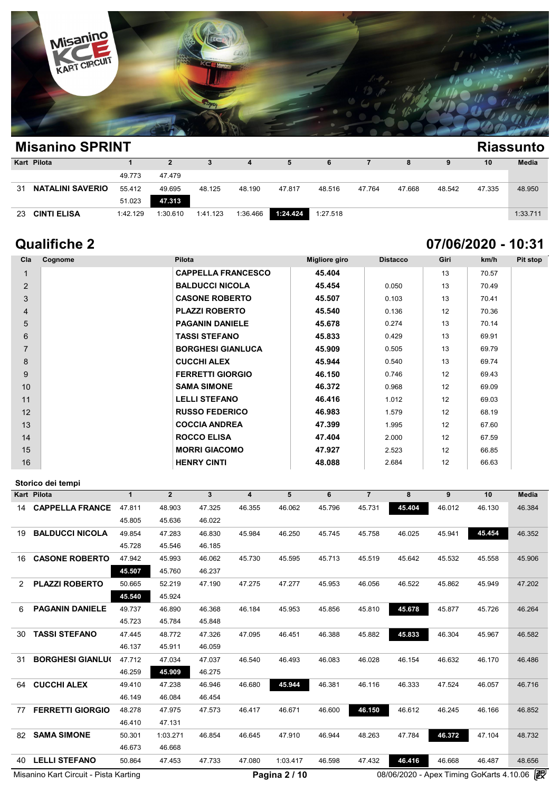

| <b>Misanino SPRINT</b><br><b>Riassunto</b> |          |          |          |          |          |          |        |        |        |        |              |  |  |  |
|--------------------------------------------|----------|----------|----------|----------|----------|----------|--------|--------|--------|--------|--------------|--|--|--|
| Kart Pilota                                |          |          | 3        |          | 5        | 6        |        | 8      | 9      | 10     | <b>Media</b> |  |  |  |
|                                            | 49.773   | 47.479   |          |          |          |          |        |        |        |        |              |  |  |  |
| <b>NATALINI SAVERIO</b><br>31              | 55.412   | 49.695   | 48.125   | 48.190   | 47.817   | 48.516   | 47.764 | 47.668 | 48.542 | 47.335 | 48.950       |  |  |  |
|                                            | 51.023   | 47.313   |          |          |          |          |        |        |        |        |              |  |  |  |
| <b>CINTI ELISA</b><br>23                   | 1:42.129 | 1:30.610 | 1:41.123 | 1:36.466 | 1:24.424 | 1:27.518 |        |        |        |        | 1:33.711     |  |  |  |

# **Qualifiche 2 07/06/2020 - 10:31**

| Cla            | Cognome | Pilota                    | <b>Migliore giro</b> | <b>Distacco</b> | Giri | km/h  | Pit stop |
|----------------|---------|---------------------------|----------------------|-----------------|------|-------|----------|
| $\mathbf{1}$   |         | <b>CAPPELLA FRANCESCO</b> | 45.404               |                 | 13   | 70.57 |          |
| 2              |         | <b>BALDUCCI NICOLA</b>    | 45.454               | 0.050           | 13   | 70.49 |          |
| 3              |         | <b>CASONE ROBERTO</b>     | 45.507               | 0.103           | 13   | 70.41 |          |
| 4              |         | <b>PLAZZI ROBERTO</b>     | 45.540               | 0.136           | 12   | 70.36 |          |
| 5              |         | <b>PAGANIN DANIELE</b>    | 45.678               | 0.274           | 13   | 70.14 |          |
| 6              |         | <b>TASSI STEFANO</b>      | 45.833               | 0.429           | 13   | 69.91 |          |
| $\overline{7}$ |         | <b>BORGHESI GIANLUCA</b>  | 45.909               | 0.505           | 13   | 69.79 |          |
| 8              |         | <b>CUCCHI ALEX</b>        | 45.944               | 0.540           | 13   | 69.74 |          |
| 9              |         | <b>FERRETTI GIORGIO</b>   | 46.150               | 0.746           | 12   | 69.43 |          |
| 10             |         | <b>SAMA SIMONE</b>        | 46.372               | 0.968           | 12   | 69.09 |          |
| 11             |         | <b>LELLI STEFANO</b>      | 46.416               | 1.012           | 12   | 69.03 |          |
| 12             |         | <b>RUSSO FEDERICO</b>     | 46.983               | 1.579           | 12   | 68.19 |          |
| 13             |         | <b>COCCIA ANDREA</b>      | 47.399               | 1.995           | 12   | 67.60 |          |
| 14             |         | <b>ROCCO ELISA</b>        | 47.404               | 2.000           | 12   | 67.59 |          |
| 15             |         | <b>MORRI GIACOMO</b>      | 47.927               | 2.523           | 12   | 66.85 |          |
| 16             |         | <b>HENRY CINTI</b>        | 48.088               | 2.684           | 12   | 66.63 |          |

|    | Storico dei tempi       |              |                |              |                         |          |        |                |        |        |        |              |
|----|-------------------------|--------------|----------------|--------------|-------------------------|----------|--------|----------------|--------|--------|--------|--------------|
|    | <b>Kart Pilota</b>      | $\mathbf{1}$ | $\overline{2}$ | $\mathbf{3}$ | $\overline{\mathbf{4}}$ | 5        | 6      | $\overline{7}$ | 8      | 9      | 10     | <b>Media</b> |
| 14 | <b>CAPPELLA FRANCE</b>  | 47.811       | 48.903         | 47.325       | 46.355                  | 46.062   | 45.796 | 45.731         | 45.404 | 46.012 | 46.130 | 46.384       |
|    |                         | 45.805       | 45.636         | 46.022       |                         |          |        |                |        |        |        |              |
| 19 | <b>BALDUCCI NICOLA</b>  | 49.854       | 47.283         | 46.830       | 45.984                  | 46.250   | 45.745 | 45.758         | 46.025 | 45.941 | 45.454 | 46.352       |
|    |                         | 45.728       | 45.546         | 46.185       |                         |          |        |                |        |        |        |              |
| 16 | <b>CASONE ROBERTO</b>   | 47.942       | 45.993         | 46.062       | 45.730                  | 45.595   | 45.713 | 45.519         | 45.642 | 45.532 | 45.558 | 45.906       |
|    |                         | 45.507       | 45.760         | 46.237       |                         |          |        |                |        |        |        |              |
| 2  | <b>PLAZZI ROBERTO</b>   | 50.665       | 52.219         | 47.190       | 47.275                  | 47.277   | 45.953 | 46.056         | 46.522 | 45.862 | 45.949 | 47.202       |
|    |                         | 45,540       | 45.924         |              |                         |          |        |                |        |        |        |              |
| 6  | <b>PAGANIN DANIELE</b>  | 49.737       | 46.890         | 46.368       | 46.184                  | 45.953   | 45.856 | 45.810         | 45.678 | 45.877 | 45.726 | 46.264       |
|    |                         | 45.723       | 45.784         | 45.848       |                         |          |        |                |        |        |        |              |
| 30 | <b>TASSI STEFANO</b>    | 47.445       | 48.772         | 47.326       | 47.095                  | 46.451   | 46.388 | 45.882         | 45.833 | 46.304 | 45.967 | 46.582       |
|    |                         | 46.137       | 45.911         | 46.059       |                         |          |        |                |        |        |        |              |
| 31 | <b>BORGHESI GIANLU(</b> | 47.712       | 47.034         | 47.037       | 46.540                  | 46.493   | 46.083 | 46.028         | 46.154 | 46.632 | 46.170 | 46.486       |
|    |                         | 46.259       | 45.909         | 46.275       |                         |          |        |                |        |        |        |              |
| 64 | <b>CUCCHI ALEX</b>      | 49.410       | 47.238         | 46.946       | 46.680                  | 45.944   | 46.381 | 46.116         | 46.333 | 47.524 | 46.057 | 46.716       |
|    |                         | 46.149       | 46.084         | 46.454       |                         |          |        |                |        |        |        |              |
| 77 | <b>FERRETTI GIORGIO</b> | 48.278       | 47.975         | 47.573       | 46.417                  | 46.671   | 46.600 | 46.150         | 46.612 | 46.245 | 46.166 | 46.852       |
|    |                         | 46.410       | 47.131         |              |                         |          |        |                |        |        |        |              |
| 82 | <b>SAMA SIMONE</b>      | 50.301       | 1:03.271       | 46.854       | 46.645                  | 47.910   | 46.944 | 48.263         | 47.784 | 46.372 | 47.104 | 48.732       |
|    |                         | 46.673       | 46.668         |              |                         |          |        |                |        |        |        |              |
| 40 | <b>LELLI STEFANO</b>    | 50.864       | 47.453         | 47.733       | 47.080                  | 1:03.417 | 46.598 | 47.432         | 46.416 | 46.668 | 46.487 | 48.656       |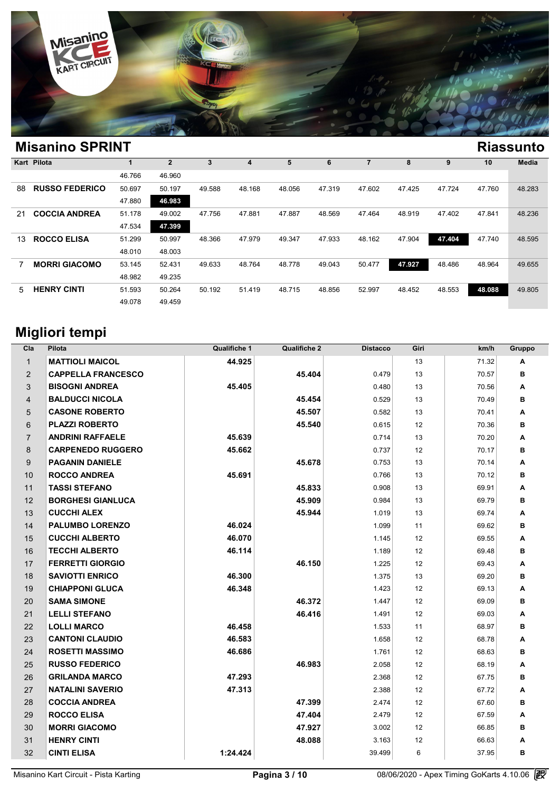

| <b>Misanino SPRINT</b>      |        |                |        |        |        |        |        |        |        |        | <b>Riassunto</b> |
|-----------------------------|--------|----------------|--------|--------|--------|--------|--------|--------|--------|--------|------------------|
| Kart Pilota                 |        | $\overline{2}$ | 3      | 4      | 5      | 6      |        | 8      | 9      | 10     | Media            |
|                             | 46.766 | 46.960         |        |        |        |        |        |        |        |        |                  |
| <b>RUSSO FEDERICO</b><br>88 | 50.697 | 50.197         | 49.588 | 48.168 | 48.056 | 47.319 | 47.602 | 47.425 | 47.724 | 47.760 | 48.283           |
|                             | 47.880 | 46.983         |        |        |        |        |        |        |        |        |                  |
| <b>COCCIA ANDREA</b><br>21  | 51.178 | 49.002         | 47.756 | 47.881 | 47.887 | 48.569 | 47.464 | 48.919 | 47.402 | 47.841 | 48.236           |
|                             | 47.534 | 47.399         |        |        |        |        |        |        |        |        |                  |
| <b>ROCCO ELISA</b><br>13    | 51.299 | 50.997         | 48.366 | 47.979 | 49.347 | 47.933 | 48.162 | 47.904 | 47.404 | 47.740 | 48.595           |
|                             | 48.010 | 48.003         |        |        |        |        |        |        |        |        |                  |
| <b>MORRI GIACOMO</b>        | 53.145 | 52.431         | 49.633 | 48.764 | 48.778 | 49.043 | 50.477 | 47.927 | 48.486 | 48.964 | 49.655           |
|                             | 48.982 | 49.235         |        |        |        |        |        |        |        |        |                  |
| <b>HENRY CINTI</b><br>5     | 51.593 | 50.264         | 50.192 | 51.419 | 48.715 | 48.856 | 52.997 | 48.452 | 48.553 | 48.088 | 49.805           |
|                             | 49.078 | 49.459         |        |        |        |        |        |        |        |        |                  |
|                             |        |                |        |        |        |        |        |        |        |        |                  |

# **Migliori tempi**

| Cla            | Pilota                    | <b>Qualifiche 1</b> | <b>Qualifiche 2</b> | <b>Distacco</b> | Giri            | km/h  | Gruppo |
|----------------|---------------------------|---------------------|---------------------|-----------------|-----------------|-------|--------|
| $\mathbf{1}$   | <b>MATTIOLI MAICOL</b>    | 44.925              |                     |                 | 13              | 71.32 | Α      |
| 2              | <b>CAPPELLA FRANCESCO</b> |                     | 45.404              | 0.479           | 13              | 70.57 | в      |
| 3              | <b>BISOGNI ANDREA</b>     | 45.405              |                     | 0.480           | 13              | 70.56 | A      |
| $\overline{4}$ | <b>BALDUCCI NICOLA</b>    |                     | 45.454              | 0.529           | 13              | 70.49 | в      |
| 5              | <b>CASONE ROBERTO</b>     |                     | 45.507              | 0.582           | 13              | 70.41 | Α      |
| 6              | <b>PLAZZI ROBERTO</b>     |                     | 45.540              | 0.615           | 12              | 70.36 | в      |
| $\overline{7}$ | <b>ANDRINI RAFFAELE</b>   | 45.639              |                     | 0.714           | 13              | 70.20 | A      |
| 8              | <b>CARPENEDO RUGGERO</b>  | 45.662              |                     | 0.737           | 12              | 70.17 | в      |
| 9              | <b>PAGANIN DANIELE</b>    |                     | 45.678              | 0.753           | 13              | 70.14 | Α      |
| 10             | <b>ROCCO ANDREA</b>       | 45.691              |                     | 0.766           | 13              | 70.12 | в      |
| 11             | <b>TASSI STEFANO</b>      |                     | 45.833              | 0.908           | 13              | 69.91 | A      |
| 12             | <b>BORGHESI GIANLUCA</b>  |                     | 45.909              | 0.984           | 13              | 69.79 | в      |
| 13             | <b>CUCCHI ALEX</b>        |                     | 45.944              | 1.019           | 13              | 69.74 | A      |
| 14             | <b>PALUMBO LORENZO</b>    | 46.024              |                     | 1.099           | 11              | 69.62 | в      |
| 15             | <b>CUCCHI ALBERTO</b>     | 46.070              |                     | 1.145           | 12              | 69.55 | Α      |
| 16             | <b>TECCHI ALBERTO</b>     | 46.114              |                     | 1.189           | 12              | 69.48 | в      |
| 17             | <b>FERRETTI GIORGIO</b>   |                     | 46.150              | 1.225           | 12              | 69.43 | A      |
| 18             | <b>SAVIOTTI ENRICO</b>    | 46.300              |                     | 1.375           | 13              | 69.20 | в      |
| 19             | <b>CHIAPPONI GLUCA</b>    | 46.348              |                     | 1.423           | 12              | 69.13 | Α      |
| 20             | <b>SAMA SIMONE</b>        |                     | 46.372              | 1.447           | 12              | 69.09 | в      |
| 21             | <b>LELLI STEFANO</b>      |                     | 46.416              | 1.491           | 12              | 69.03 | Α      |
| 22             | <b>LOLLI MARCO</b>        | 46.458              |                     | 1.533           | 11              | 68.97 | в      |
| 23             | <b>CANTONI CLAUDIO</b>    | 46.583              |                     | 1.658           | 12              | 68.78 | A      |
| 24             | <b>ROSETTI MASSIMO</b>    | 46.686              |                     | 1.761           | 12              | 68.63 | в      |
| 25             | <b>RUSSO FEDERICO</b>     |                     | 46.983              | 2.058           | 12              | 68.19 | Α      |
| 26             | <b>GRILANDA MARCO</b>     | 47.293              |                     | 2.368           | 12              | 67.75 | в      |
| 27             | <b>NATALINI SAVERIO</b>   | 47.313              |                     | 2.388           | 12              | 67.72 | A      |
| 28             | <b>COCCIA ANDREA</b>      |                     | 47.399              | 2.474           | 12              | 67.60 | в      |
| 29             | <b>ROCCO ELISA</b>        |                     | 47.404              | 2.479           | 12              | 67.59 | Α      |
| 30             | <b>MORRI GIACOMO</b>      |                     | 47.927              | 3.002           | 12              | 66.85 | в      |
| 31             | <b>HENRY CINTI</b>        |                     | 48.088              | 3.163           | 12 <sup>2</sup> | 66.63 | Α      |
| 32             | <b>CINTI ELISA</b>        | 1:24.424            |                     | 39.499          | 6               | 37.95 | в      |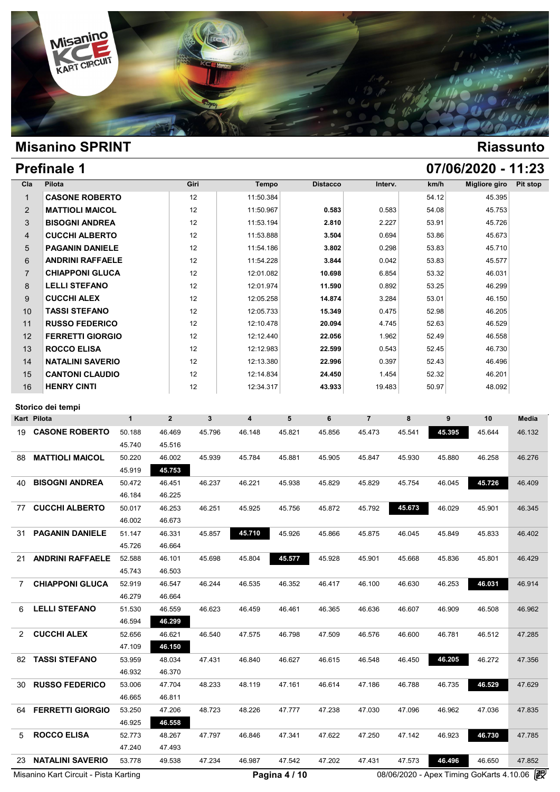

# **Prefinale 1 07/06/2020 - 11:23**

| Cla            | Pilota                  | Giri | Tempo     | <b>Distacco</b> | Interv. | km/h  | Migliore giro | Pit stop |
|----------------|-------------------------|------|-----------|-----------------|---------|-------|---------------|----------|
| $\mathbf{1}$   | <b>CASONE ROBERTO</b>   | 12   | 11:50.384 |                 |         | 54.12 | 45.395        |          |
| 2              | <b>MATTIOLI MAICOL</b>  | 12   | 11:50.967 | 0.583           | 0.583   | 54.08 | 45.753        |          |
| 3              | <b>BISOGNI ANDREA</b>   | 12   | 11:53.194 | 2.810           | 2.227   | 53.91 | 45.726        |          |
| 4              | <b>CUCCHI ALBERTO</b>   | 12   | 11:53.888 | 3.504           | 0.694   | 53.86 | 45.673        |          |
| 5              | <b>PAGANIN DANIELE</b>  | 12   | 11:54.186 | 3.802           | 0.298   | 53.83 | 45.710        |          |
| 6              | <b>ANDRINI RAFFAELE</b> | 12   | 11:54.228 | 3.844           | 0.042   | 53.83 | 45.577        |          |
| $\overline{7}$ | <b>CHIAPPONI GLUCA</b>  | 12   | 12:01.082 | 10.698          | 6.854   | 53.32 | 46.031        |          |
| 8              | <b>LELLI STEFANO</b>    | 12   | 12:01.974 | 11.590          | 0.892   | 53.25 | 46.299        |          |
| 9              | <b>CUCCHI ALEX</b>      | 12   | 12:05.258 | 14.874          | 3.284   | 53.01 | 46.150        |          |
| 10             | <b>TASSI STEFANO</b>    | 12   | 12:05.733 | 15.349          | 0.475   | 52.98 | 46.205        |          |
| 11             | <b>RUSSO FEDERICO</b>   | 12   | 12:10.478 | 20.094          | 4.745   | 52.63 | 46.529        |          |
| 12             | <b>FERRETTI GIORGIO</b> | 12   | 12:12.440 | 22.056          | 1.962   | 52.49 | 46.558        |          |
| 13             | <b>ROCCO ELISA</b>      | 12   | 12:12.983 | 22.599          | 0.543   | 52.45 | 46.730        |          |
| 14             | <b>NATALINI SAVERIO</b> | 12   | 12:13.380 | 22.996          | 0.397   | 52.43 | 46.496        |          |
| 15             | <b>CANTONI CLAUDIO</b>  | 12   | 12:14.834 | 24.450          | 1.454   | 52.32 | 46.201        |          |
| 16             | <b>HENRY CINTI</b>      | 12   | 12:34.317 | 43.933          | 19.483  | 50.97 | 48.092        |          |

|                         | $\mathbf{1}$                     | $\overline{\mathbf{c}}$               | 3      | $\overline{\mathbf{4}}$ | 5      | 6             | $\overline{7}$ | 8      | 9      | 10     | <b>Media</b>                             |
|-------------------------|----------------------------------|---------------------------------------|--------|-------------------------|--------|---------------|----------------|--------|--------|--------|------------------------------------------|
| <b>CASONE ROBERTO</b>   | 50.188                           | 46.469                                | 45.796 | 46.148                  | 45.821 | 45.856        | 45.473         | 45.541 | 45.395 | 45.644 | 46.132                                   |
|                         | 45.740                           | 45.516                                |        |                         |        |               |                |        |        |        |                                          |
| <b>MATTIOLI MAICOL</b>  | 50.220                           | 46.002                                | 45.939 | 45.784                  | 45.881 | 45.905        | 45.847         | 45.930 | 45.880 | 46.258 | 46.276                                   |
|                         | 45.919                           | 45.753                                |        |                         |        |               |                |        |        |        |                                          |
| <b>BISOGNI ANDREA</b>   | 50.472                           | 46.451                                | 46.237 | 46.221                  | 45.938 | 45.829        | 45.829         | 45.754 | 46.045 | 45.726 | 46.409                                   |
|                         | 46.184                           | 46.225                                |        |                         |        |               |                |        |        |        |                                          |
| <b>CUCCHI ALBERTO</b>   | 50.017                           | 46.253                                | 46.251 | 45.925                  | 45.756 | 45.872        | 45.792         | 45.673 | 46.029 | 45.901 | 46.345                                   |
|                         | 46.002                           | 46.673                                |        |                         |        |               |                |        |        |        |                                          |
| <b>PAGANIN DANIELE</b>  | 51.147                           | 46.331                                | 45.857 | 45.710                  | 45.926 | 45.866        | 45.875         | 46.045 | 45.849 | 45.833 | 46.402                                   |
|                         | 45.726                           | 46.664                                |        |                         |        |               |                |        |        |        |                                          |
| <b>ANDRINI RAFFAELE</b> | 52.588                           | 46.101                                | 45.698 | 45.804                  | 45.577 | 45.928        | 45.901         | 45.668 | 45.836 | 45.801 | 46.429                                   |
|                         | 45.743                           | 46.503                                |        |                         |        |               |                |        |        |        |                                          |
| <b>CHIAPPONI GLUCA</b>  | 52.919                           | 46.547                                | 46.244 | 46.535                  | 46.352 | 46.417        | 46.100         | 46.630 | 46.253 | 46.031 | 46.914                                   |
|                         | 46.279                           | 46.664                                |        |                         |        |               |                |        |        |        |                                          |
| <b>LELLI STEFANO</b>    | 51.530                           | 46.559                                | 46.623 | 46.459                  | 46.461 | 46.365        | 46.636         | 46.607 | 46.909 | 46.508 | 46.962                                   |
|                         | 46.594                           | 46.299                                |        |                         |        |               |                |        |        |        |                                          |
| <b>CUCCHI ALEX</b>      | 52.656                           | 46.621                                | 46.540 | 47.575                  | 46.798 | 47.509        | 46.576         | 46.600 | 46.781 | 46.512 | 47.285                                   |
|                         | 47.109                           | 46.150                                |        |                         |        |               |                |        |        |        |                                          |
| <b>TASSI STEFANO</b>    | 53.959                           | 48.034                                | 47.431 | 46.840                  | 46.627 | 46.615        | 46.548         | 46.450 | 46.205 | 46.272 | 47.356                                   |
|                         | 46.932                           | 46.370                                |        |                         |        |               |                |        |        |        |                                          |
| <b>RUSSO FEDERICO</b>   | 53.006                           | 47.704                                | 48.233 | 48.119                  | 47.161 | 46.614        | 47.186         | 46.788 | 46.735 | 46.529 | 47.629                                   |
|                         | 46.665                           | 46.811                                |        |                         |        |               |                |        |        |        |                                          |
| <b>FERRETTI GIORGIO</b> | 53.250                           | 47.206                                | 48.723 | 48.226                  | 47.777 | 47.238        | 47.030         | 47.096 | 46.962 | 47.036 | 47.835                                   |
|                         | 46.925                           | 46.558                                |        |                         |        |               |                |        |        |        |                                          |
| <b>ROCCO ELISA</b>      | 52.773                           | 48.267                                | 47.797 | 46.846                  | 47.341 | 47.622        | 47.250         | 47.142 | 46.923 | 46.730 | 47.785                                   |
|                         | 47.240                           | 47.493                                |        |                         |        |               |                |        |        |        |                                          |
| <b>NATALINI SAVERIO</b> | 53.778                           | 49.538                                | 47.234 | 46.987                  | 47.542 | 47.202        | 47.431         | 47.573 | 46.496 | 46.650 | 47.852                                   |
|                         |                                  |                                       |        |                         |        |               |                |        |        |        | 霰                                        |
|                         | Storico dei tempi<br>Kart Pilota | Misanino Kart Circuit - Pista Karting |        |                         |        | Pagina 4 / 10 |                |        |        |        | 08/06/2020 - Apex Timing GoKarts 4.10.06 |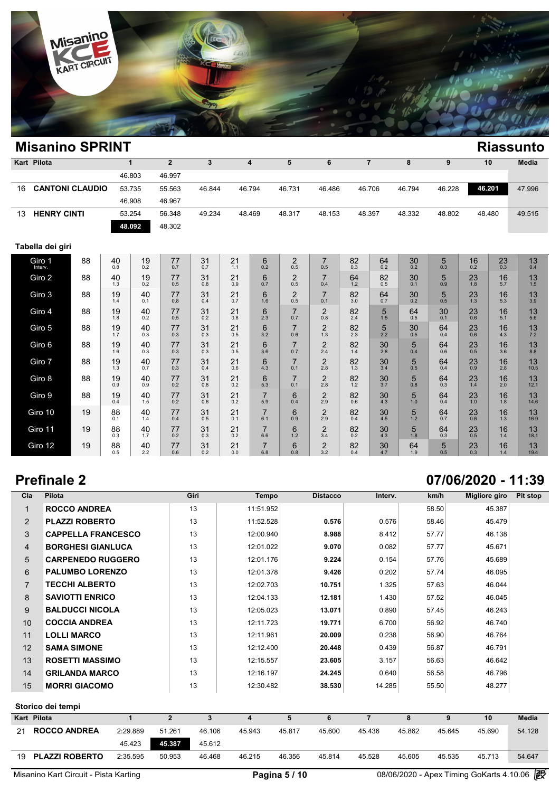

| <b>Misanino SPRINT</b>   |                        |           |                        |                |              |           |                         |                       |                       |           |                |            |           |                        |               | <b>Riassunto</b> |
|--------------------------|------------------------|-----------|------------------------|----------------|--------------|-----------|-------------------------|-----------------------|-----------------------|-----------|----------------|------------|-----------|------------------------|---------------|------------------|
| Kart Pilota              |                        |           | $\mathbf{1}$           | $\overline{2}$ | $\mathbf{3}$ |           | $\overline{\mathbf{4}}$ | 5                     | 6                     |           | $\overline{7}$ | 8          | 9         |                        | 10            | Media            |
|                          |                        |           | 46.803                 | 46.997         |              |           |                         |                       |                       |           |                |            |           |                        |               |                  |
| 16                       | <b>CANTONI CLAUDIO</b> |           | 53.735                 | 55.563         | 46.844       |           | 46.794                  | 46.731                | 46.486                |           | 46.706         | 46.794     | 46.228    |                        | 46.201        | 47.996           |
|                          |                        |           | 46.908                 | 46.967         |              |           |                         |                       |                       |           |                |            |           |                        |               |                  |
| <b>HENRY CINTI</b><br>13 |                        |           | 53.254                 | 56.348         | 49.234       |           | 48.469                  | 48.317                | 48.153                |           | 48.397         | 48.332     | 48.802    |                        | 48.480        | 49.515           |
|                          |                        |           | 48.092                 | 48.302         |              |           |                         |                       |                       |           |                |            |           |                        |               |                  |
| Tabella dei giri         |                        |           |                        |                |              |           |                         |                       |                       |           |                |            |           |                        |               |                  |
| Giro 1                   | 88                     | 40<br>0.8 | 19<br>$0.\overline{2}$ | 77<br>0.7      | 31<br>0.7    | 21<br>1.1 | 6<br>0.2                | $\overline{2}$<br>0.5 | $\overline{7}$<br>0.5 | 82<br>0.3 | 64<br>0.2      | $30_{0.2}$ | 5<br>0.3  | 16<br>$0.\overline{2}$ | $^{23}_{0.3}$ | 13<br>0.4        |
| Giro 2                   | 88                     | 40<br>1.3 | 19<br>0.2              | 77<br>0.5      | 31<br>0.8    | 21<br>0.9 | 6<br>0.7                | $\overline{2}$<br>0.5 | $\overline{7}$<br>0.4 | 64<br>1.2 | 82<br>0.5      | 30<br>0.1  | 5<br>0.9  | 23<br>1.8              | 16<br>5.7     | 13<br>1.5        |
| Giro 3                   | 88                     | 19<br>1.4 | 40<br>0.1              | 77<br>0.8      | 31<br>0.4    | 21<br>0.7 | 6<br>1.6                | $\overline{2}$<br>0.5 | $\overline{7}$<br>0.1 | 82<br>3.0 | 64<br>0.7      | 30<br>0.2  | 5<br>0.5  | 23<br>1.3              | 16<br>5.3     | 13<br>3.9        |
| Giro 4                   | 88                     | 19<br>1.8 | 40<br>0.2              | 77<br>0.5      | 31<br>0.2    | 21<br>0.8 | 6<br>2.3                | $\overline{7}$<br>0.7 | $\overline{2}$<br>0.8 | 82<br>2.4 | 5<br>1.5       | 64<br>0.5  | 30<br>0.1 | 23<br>$0.\overline{6}$ | 16<br>5.1     | 13<br>5.6        |
| Giro 5                   | 88                     | 19<br>1.7 | 40<br>0.3              | 77<br>0.3      | 31<br>0.3    | 21<br>0.5 | 6<br>3.2                | $\overline{7}$<br>0.6 | $\overline{c}$<br>1.3 | 82<br>2.3 | 5<br>2.2       | 30<br>0.5  | 64<br>0.4 | 23<br>0.6              | 16<br>4.3     | 13<br>7.2        |
| Giro 6                   | 88                     | 19<br>1.6 | 40<br>0.3              | 77<br>0.3      | 31<br>0.3    | 21<br>0.5 | 6<br>3.6                | $\overline{7}$<br>0.7 | $\overline{2}$<br>2.4 | 82<br>1.4 | 30<br>2.8      | 5<br>0.4   | 64<br>0.6 | 23<br>0.5              | 16<br>3.6     | 13<br>8.8        |
| Giro 7                   | 88                     | 19<br>1.3 | 40<br>0.7              | 77<br>0.3      | 31<br>0.4    | 21<br>0.6 | 6<br>4.3                | $\overline{7}$<br>0.1 | $\overline{2}$<br>2.8 | 82<br>1.3 | 30<br>3.4      | 5<br>0.5   | 64<br>0.4 | 23<br>0.9              | 16<br>2.8     | 13<br>10.5       |
| Giro 8                   | 88                     | 19<br>0.9 | 40<br>0.9              | 77<br>0.2      | 31<br>0.8    | 21<br>0.2 | 6<br>5.3                | $\overline{7}$<br>0.1 | $\overline{2}$<br>2.8 | 82<br>1.2 | 30<br>3.7      | 5<br>0.8   | 64<br>0.3 | 23<br>1.4              | 16<br>2.0     | 13<br>12.1       |
| Giro 9                   | 88                     | 19<br>0.4 | 40<br>1.5              | 77<br>0.2      | 31<br>0.6    | 21<br>0.2 | $\overline{7}$<br>5.9   | 6<br>0.4              | $\mathbf 2$<br>2.9    | 82<br>0.6 | 30<br>4.3      | 5<br>1.0   | 64<br>0.4 | 23<br>1.0              | 16<br>1.8     | 13<br>14.6       |
| Giro 10                  | 19                     | 88<br>0.1 | 40<br>1.4              | 77<br>0.4      | 31<br>0.5    | 21<br>0.1 | $\overline{7}$<br>6.1   | 6<br>0.9              | $\overline{2}$<br>2.9 | 82<br>0.4 | 30<br>4.5      | 5<br>1.2   | 64<br>0.7 | 23<br>0.6              | 16<br>1.3     | 13<br>16.9       |
| Giro 11                  | 19                     | 88<br>0.3 | 40<br>1.7              | 77<br>0.2      | 31<br>0.3    | 21<br>0.2 | $\overline{7}$<br>6.6   | 6<br>1.2              | $\frac{2}{3.4}$       | 82<br>0.2 | 30<br>4.3      | 5<br>1.8   | 64<br>0.3 | 23<br>0.5              | 16<br>1.4     | 13<br>18.1       |
| Giro 12                  | 19                     | 88<br>0.5 | 40<br>2.2              | 77<br>0.6      | 31<br>0.2    | 21<br>0.0 | $\overline{7}$<br>6.8   | 6<br>0.8              | $\overline{c}$<br>3.2 | 82<br>0.4 | 30<br>4.7      | 64<br>1.9  | 5<br>0.5  | 23<br>0.3              | 16<br>1.4     | 13<br>19.4       |

# **Prefinale 2 07/06/2020 - 11:39**

| Cla            | Pilota                    |          |                | Giri         | Tempo     | <b>Distacco</b>  | Interv.        | km/h   | Migliore giro    | Pit stop     |
|----------------|---------------------------|----------|----------------|--------------|-----------|------------------|----------------|--------|------------------|--------------|
| 1              | <b>ROCCO ANDREA</b>       |          |                | 13           | 11:51.952 |                  |                | 58.50  | 45.387           |              |
| $\overline{2}$ | <b>PLAZZI ROBERTO</b>     |          |                | 13           | 11:52.528 | 0.576            | 0.576          | 58.46  | 45.479           |              |
| 3              | <b>CAPPELLA FRANCESCO</b> |          |                | 13           | 12:00.940 | 8.988            | 8.412          | 57.77  | 46.138           |              |
| $\overline{4}$ | <b>BORGHESI GIANLUCA</b>  |          |                | 13           | 12:01.022 | 9.070            | 0.082          | 57.77  | 45.671           |              |
| 5              | <b>CARPENEDO RUGGERO</b>  |          |                | 13           | 12:01.176 | 9.224            | 0.154          | 57.76  | 45.689           |              |
| 6              | <b>PALUMBO LORENZO</b>    |          |                | 13           | 12:01.378 | 9.426            | 0.202          | 57.74  | 46.095           |              |
| $\overline{7}$ | <b>TECCHI ALBERTO</b>     |          |                | 13           | 12:02.703 | 10.751           | 1.325          | 57.63  | 46.044           |              |
| 8              | <b>SAVIOTTI ENRICO</b>    |          |                | 13           | 12:04.133 | 12.181           | 1.430          | 57.52  | 46.045           |              |
| 9              | <b>BALDUCCI NICOLA</b>    |          |                | 13           | 12:05.023 | 13.071           | 0.890          | 57.45  | 46.243           |              |
| 10             | <b>COCCIA ANDREA</b>      |          |                | 13           | 12:11.723 | 19.771           | 6.700          | 56.92  | 46.740           |              |
| 11             | <b>LOLLI MARCO</b>        |          |                | 13           | 12:11.961 | 20.009           | 0.238          | 56.90  | 46.764           |              |
| 12             | <b>SAMA SIMONE</b>        |          |                | 13           | 12:12.400 | 20.448           | 0.439          | 56.87  | 46.791           |              |
| 13             | <b>ROSETTI MASSIMO</b>    |          |                | 13           | 12:15.557 | 23.605           | 3.157          | 56.63  | 46.642           |              |
| 14             | <b>GRILANDA MARCO</b>     |          |                | 13           | 12:16.197 | 24.245           | 0.640          | 56.58  | 46.796           |              |
| 15             | <b>MORRI GIACOMO</b>      |          |                | 13           | 12:30.482 | 38.530           | 14.285         | 55.50  | 48.277           |              |
|                | Storico dei tempi         |          |                |              |           |                  |                |        |                  |              |
| Kart Pilota    |                           | 1        | $\overline{2}$ | $\mathbf{3}$ | 4         | 5<br>6           | $\overline{7}$ | 8      | 9<br>10          | <b>Media</b> |
| 21             | <b>ROCCO ANDREA</b>       | 2:29.889 | 51.261         | 46.106       | 45.943    | 45.817<br>45.600 | 45.436         | 45.862 | 45.690<br>45.645 | 54.128       |
|                |                           | 45.423   | 45.387         | 45.612       |           |                  |                |        |                  |              |
| 19             | <b>PLAZZI ROBERTO</b>     | 2:35.595 | 50.953         | 46.468       | 46.215    | 46.356<br>45.814 | 45.528         | 45.605 | 45.535<br>45.713 | 54.647       |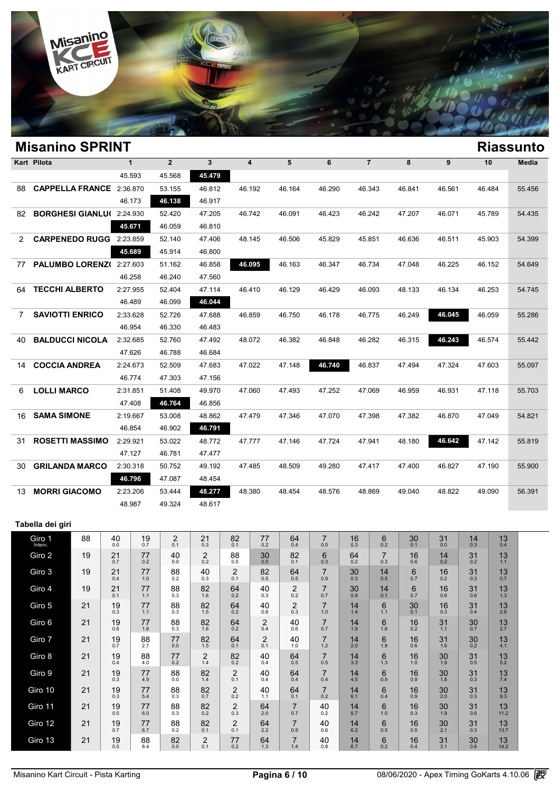

|     | <b>Misanino SPRINT</b>           |              |                |              |                         |        |        |                |        |        |        | <b>Riassunto</b> |
|-----|----------------------------------|--------------|----------------|--------------|-------------------------|--------|--------|----------------|--------|--------|--------|------------------|
|     | Kart Pilota                      | $\mathbf{1}$ | $\overline{2}$ | $\mathbf{3}$ | $\overline{\mathbf{4}}$ | 5      | 6      | $\overline{7}$ | 8      | 9      | 10     | Media            |
|     |                                  | 45.593       | 45.568         | 45.479       |                         |        |        |                |        |        |        |                  |
| 88  | CAPPELLA FRANCE 2:36.870         |              | 53.155         | 46.812       | 46.192                  | 46.164 | 46.290 | 46.343         | 46.841 | 46.561 | 46.484 | 55.456           |
|     |                                  | 46.173       | 46.138         | 46.917       |                         |        |        |                |        |        |        |                  |
| 82  | <b>BORGHESI GIANLU(2:24.930)</b> |              | 52.420         | 47.205       | 46.742                  | 46.091 | 46.423 | 46.242         | 47.207 | 46.071 | 45.789 | 54.435           |
|     |                                  | 45.671       | 46.059         | 46.810       |                         |        |        |                |        |        |        |                  |
| 2   | <b>CARPENEDO RUGG</b>            | 2:23.859     | 52.140         | 47.406       | 48.145                  | 46.506 | 45.829 | 45.851         | 46.636 | 46.511 | 45.903 | 54.399           |
|     |                                  | 45.689       | 45.914         | 46.800       |                         |        |        |                |        |        |        |                  |
| 77  | PALUMBO LORENZ(2:27.603          |              | 51.162         | 46.858       | 46.095                  | 46.163 | 46.347 | 46.734         | 47.048 | 46.225 | 46.152 | 54.649           |
|     |                                  | 46.258       | 46.240         | 47.560       |                         |        |        |                |        |        |        |                  |
| 64  | <b>TECCHI ALBERTO</b>            | 2:27.955     | 52.404         | 47.114       | 46.410                  | 46.129 | 46.429 | 46.093         | 48.133 | 46.134 | 46.253 | 54.745           |
|     |                                  | 46.489       | 46.099         | 46.044       |                         |        |        |                |        |        |        |                  |
| 7   | <b>SAVIOTTI ENRICO</b>           | 2:33.628     | 52.726         | 47.688       | 46.859                  | 46.750 | 46.178 | 46.775         | 46.249 | 46.045 | 46.059 | 55.286           |
|     |                                  | 46.954       | 46.330         | 46.483       |                         |        |        |                |        |        |        |                  |
| 40  | <b>BALDUCCI NICOLA</b>           | 2:32.685     | 52.760         | 47.492       | 48.072                  | 46.382 | 46.848 | 46.282         | 46.315 | 46.243 | 46.574 | 55.442           |
|     |                                  | 47.626       | 46.788         | 46.684       |                         |        |        |                |        |        |        |                  |
| 14. | <b>COCCIA ANDREA</b>             | 2:24.673     | 52.509         | 47.683       | 47.022                  | 47.148 | 46.740 | 46.837         | 47.494 | 47.324 | 47.603 | 55.097           |
|     |                                  | 46.774       | 47.303         | 47.156       |                         |        |        |                |        |        |        |                  |
| 6   | <b>LOLLI MARCO</b>               | 2:31.851     | 51.408         | 49.970       | 47.060                  | 47.493 | 47.252 | 47.069         | 46.959 | 46.931 | 47.118 | 55.703           |
|     |                                  | 47.408       | 46.764         | 46.856       |                         |        |        |                |        |        |        |                  |
| 16  | <b>SAMA SIMONE</b>               | 2:19.667     | 53.008         | 48.862       | 47.479                  | 47.346 | 47.070 | 47.398         | 47.382 | 46.870 | 47.049 | 54.821           |
|     |                                  | 46.854       | 46.902         | 46.791       |                         |        |        |                |        |        |        |                  |
| 31  | <b>ROSETTI MASSIMO</b>           | 2:29.921     | 53.022         | 48.772       | 47.777                  | 47.146 | 47.724 | 47.941         | 48.180 | 46.642 | 47.142 | 55.819           |
|     |                                  | 47.127       | 46.781         | 47.477       |                         |        |        |                |        |        |        |                  |
| 30  | <b>GRILANDA MARCO</b>            | 2:30.318     | 50.752         | 49.192       | 47.485                  | 48.509 | 49.280 | 47.417         | 47.400 | 46.827 | 47.190 | 55.900           |
|     |                                  | 46.796       | 47.087         | 48.454       |                         |        |        |                |        |        |        |                  |
| 13. | <b>MORRI GIACOMO</b>             | 2:23.206     | 53.444         | 48.277       | 48.380                  | 48.454 | 48.576 | 48.869         | 49.040 | 48.822 | 49.090 | 56.391           |
|     |                                  | 48.987       | 49.324         | 48.617       |                         |        |        |                |        |        |        |                  |

### **Tabella dei giri**

| Giro 1<br>Interv. | 88 | 40<br>0.0 | 19<br>0.7 | 2<br>0.1  | 21<br>0.3             | 82<br>0.1             | 77<br>0.2             | 64<br>0.4             | $\overline{7}$<br>0.0 | 16<br>0.3 | 6<br>0.2              | 30<br>0.1 | 31<br>0.0 | 14<br>0.3 | 13<br>0.4  |
|-------------------|----|-----------|-----------|-----------|-----------------------|-----------------------|-----------------------|-----------------------|-----------------------|-----------|-----------------------|-----------|-----------|-----------|------------|
| Giro 2            | 19 | 21<br>0.7 | 77<br>0.2 | 40<br>0.0 | $\overline{2}$<br>0.2 | 88<br>0.0             | 30<br>0.5             | 82<br>0.1             | 6<br>0.3              | 64<br>0.2 | $\overline{7}$<br>0.3 | 16<br>0.6 | 14<br>0.2 | 31<br>0.2 | 13<br>1.1  |
| Giro 3            | 19 | 21<br>0.4 | 77<br>1.0 | 88<br>0.2 | 40<br>0.3             | $\overline{2}$<br>0.1 | 82<br>0.5             | 64<br>0.5             | $\overline{7}$<br>0.9 | 30<br>0.3 | 14<br>0.5             | 6<br>0.7  | 16<br>0.2 | 31<br>0.3 | 13<br>0.7  |
| Giro 4            | 19 | 21<br>0.1 | 77<br>1.1 | 88<br>0.3 | 82<br>1.6             | 64<br>0.2             | 40<br>0.3             | 2<br>0.2              | $\overline{7}$<br>0.7 | 30<br>0.9 | 14<br>0.1             | 6<br>0.7  | 16<br>0.6 | 31<br>0.6 | 13<br>1.3  |
| Giro 5            | 21 | 19<br>0.3 | 77<br>1.1 | 88<br>0.3 | 82<br>1.5             | 64<br>0.2             | 40<br>0.6             | 2<br>0.3              | $\overline{7}$<br>1.0 | 14<br>1.4 | 6<br>1.1              | 30<br>0.1 | 16<br>0.3 | 31<br>0.4 | 13<br>2.6  |
| Giro 6            | 21 | 19<br>0.6 | 77<br>1.6 | 88<br>0.3 | 82<br>1.6             | 64<br>0.2             | $\overline{2}$<br>0.4 | 40<br>0.6             | $\overline{7}$<br>0.7 | 14<br>1.9 | 6<br>1.6              | 16<br>0.2 | 31<br>1.1 | 30<br>0.7 | 13<br>2.7  |
| Giro 7            | 21 | 19<br>0.7 | 88<br>2.7 | 77<br>0.0 | 82<br>1.5             | 64<br>0.1             | 2<br>0.1              | 40<br>1.0             | $\overline{7}$<br>1.2 | 14<br>2.0 | 6<br>1.8              | 16<br>0.6 | 31<br>1.6 | 30<br>0.2 | 13<br>4.1  |
| Giro 8            | 21 | 19<br>0.4 | 88<br>4.0 | 77<br>0.2 | $\overline{2}$<br>1.4 | 82<br>0.2             | 40<br>0.4             | 64<br>0.5             | $\overline{7}$<br>0.5 | 14<br>3.3 | 6<br>1.3              | 16<br>1.0 | 30<br>1.9 | 31<br>0.5 | 13<br>5.2  |
| Giro 9            | 21 | 19<br>0.3 | 77<br>4.9 | 88<br>0.0 | 82<br>1.4             | $\overline{2}$<br>0.1 | 40<br>0.4             | 64<br>0.4             | $\overline{7}$<br>0.4 | 14<br>4.5 | 6<br>0.9              | 16<br>0.9 | 30<br>1.8 | 31<br>0.3 | 13<br>7.4  |
| Giro 10           | 21 | 19<br>0.3 | 77<br>5.4 | 88<br>0.3 | 82<br>0.7             | $\overline{2}$<br>0.2 | 40<br>1.1             | 64<br>0.1             | $\overline{7}$<br>0.2 | 14<br>6.1 | 6<br>0.4              | 16<br>0.9 | 30<br>2.0 | 31<br>0.3 | 13<br>9.3  |
| Giro 11           | 21 | 19<br>0.5 | 77<br>6.0 | 88<br>0.3 | 82<br>0.2             | $\overline{2}$<br>0.3 | 64<br>2.0             | $\overline{7}$<br>0.7 | 40<br>0.2             | 14<br>5.7 | 6<br>1.0              | 16<br>0.3 | 30<br>1.9 | 31<br>0.6 | 13<br>11.2 |
| Giro 12           | 21 | 19<br>0.7 | 77<br>6.7 | 88<br>0.2 | 82<br>0.1             | $^{2}_{0.1}$          | 64<br>2.2             | $\overline{7}$<br>0.9 | 40<br>0.6             | 14<br>6.2 | 6<br>0.5              | 16<br>0.5 | 30<br>2.1 | 31<br>0.3 | 13<br>13.7 |
| Giro 13           | 21 | 19<br>0.5 | 88<br>8.4 | 82<br>0.0 | $\overline{2}$<br>0.1 | 77<br>0.2             | 64<br>1.3             | $\overline{7}$<br>1.4 | 40<br>0.8             | 14<br>6.7 | 6<br>0.2              | 16<br>0.4 | 31<br>3.1 | 30<br>0.6 | 13<br>14.2 |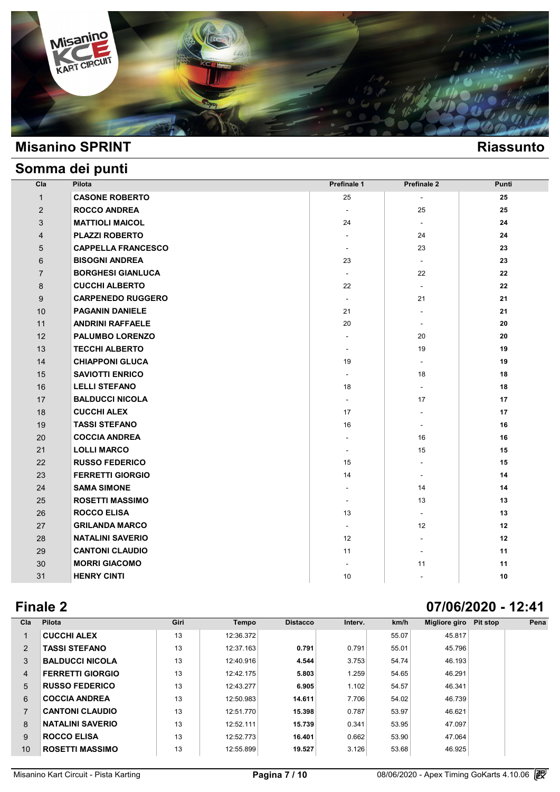

# **Somma dei punti**

| Cla            | Pilota                    | Prefinale 1              | <b>Prefinale 2</b>          | Punti |
|----------------|---------------------------|--------------------------|-----------------------------|-------|
| $\mathbf{1}$   | <b>CASONE ROBERTO</b>     | 25                       |                             | 25    |
| 2              | <b>ROCCO ANDREA</b>       | $\overline{\phantom{a}}$ | 25                          | 25    |
| 3              | <b>MATTIOLI MAICOL</b>    | 24                       | $\sim$                      | 24    |
| $\overline{4}$ | <b>PLAZZI ROBERTO</b>     | $\sim$                   | 24                          | 24    |
| 5              | <b>CAPPELLA FRANCESCO</b> | $\overline{\phantom{a}}$ | 23                          | 23    |
| 6              | <b>BISOGNI ANDREA</b>     | 23                       | $\mathcal{L}_{\mathcal{A}}$ | 23    |
| $\overline{7}$ | <b>BORGHESI GIANLUCA</b>  | $\blacksquare$           | 22                          | 22    |
| 8              | <b>CUCCHI ALBERTO</b>     | 22                       | $\mathcal{L}$               | 22    |
| 9              | <b>CARPENEDO RUGGERO</b>  | $\overline{\phantom{a}}$ | 21                          | 21    |
| 10             | <b>PAGANIN DANIELE</b>    | 21                       | $\sim$                      | 21    |
| 11             | <b>ANDRINI RAFFAELE</b>   | 20                       | $\overline{\phantom{a}}$    | 20    |
| 12             | <b>PALUMBO LORENZO</b>    | $\overline{\phantom{a}}$ | 20                          | 20    |
| 13             | <b>TECCHI ALBERTO</b>     | $\overline{\phantom{a}}$ | 19                          | 19    |
| 14             | <b>CHIAPPONI GLUCA</b>    | 19                       |                             | 19    |
| 15             | <b>SAVIOTTI ENRICO</b>    | $\mathbf{r}$             | 18                          | 18    |
| 16             | <b>LELLI STEFANO</b>      | 18                       | $\mathcal{L}_{\mathcal{A}}$ | 18    |
| 17             | <b>BALDUCCI NICOLA</b>    | $\mathbf{r}$             | 17                          | 17    |
| 18             | <b>CUCCHI ALEX</b>        | 17                       | $\overline{\phantom{a}}$    | 17    |
| 19             | <b>TASSI STEFANO</b>      | 16                       | $\sim$                      | 16    |
| 20             | <b>COCCIA ANDREA</b>      | $\overline{\phantom{a}}$ | 16                          | 16    |
| 21             | <b>LOLLI MARCO</b>        | $\overline{\phantom{a}}$ | 15                          | 15    |
| 22             | <b>RUSSO FEDERICO</b>     | 15                       | $\sim$                      | 15    |
| 23             | <b>FERRETTI GIORGIO</b>   | 14                       | ÷.                          | 14    |
| 24             | <b>SAMA SIMONE</b>        | $\overline{\phantom{a}}$ | 14                          | 14    |
| 25             | <b>ROSETTI MASSIMO</b>    | $\sim$                   | 13                          | 13    |
| 26             | <b>ROCCO ELISA</b>        | 13                       | $\blacksquare$              | 13    |
| 27             | <b>GRILANDA MARCO</b>     | $\overline{\phantom{a}}$ | 12                          | 12    |
| 28             | <b>NATALINI SAVERIO</b>   | 12                       | $\overline{\phantom{a}}$    | 12    |
| 29             | <b>CANTONI CLAUDIO</b>    | 11                       | $\overline{\phantom{a}}$    | 11    |
| 30             | <b>MORRI GIACOMO</b>      | $\overline{\phantom{a}}$ | 11                          | 11    |
| 31             | <b>HENRY CINTI</b>        | 10                       | $\sim$                      | 10    |

# **Finale 2 07/06/2020 - 12:41**

| Cla            | Pilota                  | Giri | <b>Tempo</b> | <b>Distacco</b> | Interv. | km/h  | Migliore giro Pit stop | Pena |
|----------------|-------------------------|------|--------------|-----------------|---------|-------|------------------------|------|
| 1              | <b>CUCCHI ALEX</b>      | 13   | 12:36.372    |                 |         | 55.07 | 45.817                 |      |
| 2              | <b>TASSI STEFANO</b>    | 13   | 12:37.163    | 0.791           | 0.791   | 55.01 | 45.796                 |      |
| 3              | <b>BALDUCCI NICOLA</b>  | 13   | 12:40.916    | 4.544           | 3.753   | 54.74 | 46.193                 |      |
| $\overline{4}$ | <b>FERRETTI GIORGIO</b> | 13   | 12:42.175    | 5.803           | 1.259   | 54.65 | 46.291                 |      |
| 5              | <b>RUSSO FEDERICO</b>   | 13   | 12:43.277    | 6.905           | 1.102   | 54.57 | 46.341                 |      |
| 6              | <b>COCCIA ANDREA</b>    | 13   | 12:50.983    | 14.611          | 7.706   | 54.02 | 46.739                 |      |
| $\overline{7}$ | <b>CANTONI CLAUDIO</b>  | 13   | 12:51.770    | 15.398          | 0.787   | 53.97 | 46.621                 |      |
| 8              | <b>NATALINI SAVERIO</b> | 13   | 12:52.111    | 15.739          | 0.341   | 53.95 | 47.097                 |      |
| 9              | <b>ROCCO ELISA</b>      | 13   | 12:52.773    | 16.401          | 0.662   | 53.90 | 47.064                 |      |
| 10             | <b>ROSETTI MASSIMO</b>  | 13   | 12:55.899    | 19.527          | 3.126   | 53.68 | 46.925                 |      |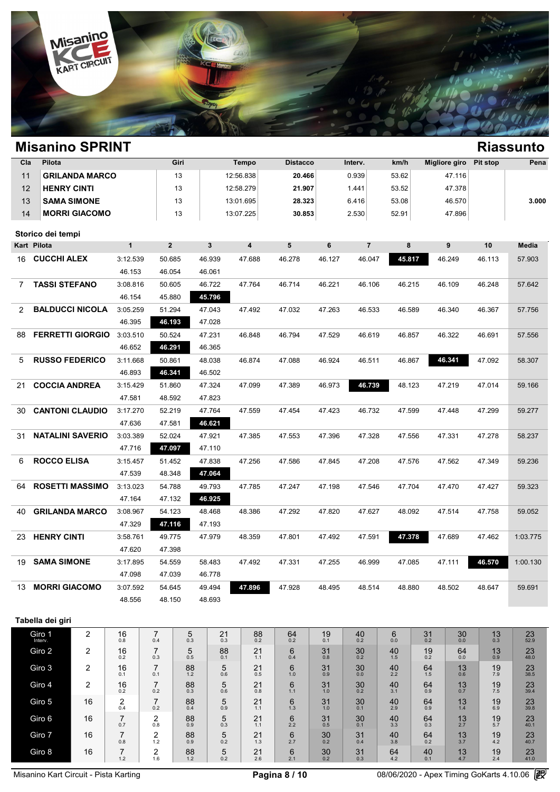

| Cla                   | Pilota                 |                         |                       | Giri             | <b>Tempo</b>        |                  | <b>Distacco</b>         | km/h<br>Interv. | <b>Migliore giro</b> | Pena                |               |                                 |                |                      |
|-----------------------|------------------------|-------------------------|-----------------------|------------------|---------------------|------------------|-------------------------|-----------------|----------------------|---------------------|---------------|---------------------------------|----------------|----------------------|
| 11                    |                        | <b>GRILANDA MARCO</b>   |                       |                  | 13                  |                  | 12:56.838               | 20.466          |                      | 0.939               | 53.62         | 47.116                          |                |                      |
| 12                    | <b>HENRY CINTI</b>     |                         |                       |                  | 13                  |                  | 12:58.279               | 21.907          |                      | 1.441               | 53.52         | 47.378                          |                |                      |
| 13                    |                        | <b>SAMA SIMONE</b>      |                       |                  | 13                  |                  | 13:01.695               | 28.323          |                      | 6.416               | 53.08         | 46.570                          |                | 3.000                |
| 14                    |                        | <b>MORRI GIACOMO</b>    |                       |                  | 13                  |                  | 13:07.225               | 30.853          |                      | 2.530               | 52.91         | 47.896                          |                |                      |
|                       | Storico dei tempi      |                         |                       |                  |                     |                  |                         |                 |                      |                     |               |                                 |                |                      |
|                       | Kart Pilota            |                         | $\mathbf{1}$          | 2 <sup>2</sup>   |                     | 3                | $\overline{\mathbf{4}}$ | 5               | 6                    | $\overline{7}$      | 8             | 9                               | 10             | Media                |
|                       | 16 CUCCHI ALEX         |                         | 3:12.539              | 50.685           |                     | 46.939           | 47.688                  | 46.278          | 46.127               | 46.047              | 45.817        | 46.249                          | 46.113         | 57.903               |
|                       |                        |                         | 46.153                | 46.054           |                     | 46.061           |                         |                 |                      |                     |               |                                 |                |                      |
| $\overline{7}$        | <b>TASSI STEFANO</b>   |                         | 3:08.816              | 50.605           |                     | 46.722           | 47.764                  | 46.714          | 46.221               | 46.106              | 46.215        | 46.109                          | 46.248         | 57.642               |
|                       |                        |                         | 46.154                | 45.880           |                     | 45.796           |                         |                 |                      |                     |               |                                 |                |                      |
| $\mathbf{2}^{\prime}$ |                        | <b>BALDUCCI NICOLA</b>  | 3:05.259              | 51.294           |                     | 47.043           | 47.492                  | 47.032          | 47.263               | 46.533              | 46.589        | 46.340                          | 46.367         | 57.756               |
|                       |                        |                         | 46.395                | 46.193           |                     | 47.028           |                         |                 |                      |                     |               |                                 |                |                      |
| 88                    |                        | <b>FERRETTI GIORGIO</b> | 3:03.510              | 50.524           |                     | 47.231           | 46.848                  | 46.794          | 47.529               | 46.619              | 46.857        | 46.322                          | 46.691         | 57.556               |
|                       |                        |                         | 46.652                | 46.291           |                     | 46.365           |                         |                 |                      |                     |               |                                 |                |                      |
| 5                     | <b>RUSSO FEDERICO</b>  |                         | 3:11.668              | 50.861           |                     | 48.038           | 46.874                  | 47.088          | 46.924               | 46.511              | 46.867        | 46.341                          | 47.092         | 58.307               |
|                       |                        |                         | 46.893                | 46.341           |                     | 46.502           |                         |                 |                      |                     |               |                                 |                |                      |
| 21                    | <b>COCCIA ANDREA</b>   |                         | 3:15.429<br>47.581    | 51.860<br>48.592 |                     | 47.324<br>47.823 | 47.099                  | 47.389          | 46.973               | 46.739              | 48.123        | 47.219                          | 47.014         | 59.166               |
| 30                    | <b>CANTONI CLAUDIO</b> |                         | 3:17.270              | 52.219           |                     | 47.764           | 47.559                  | 47.454          | 47.423               | 46.732              | 47.599        | 47.448                          | 47.299         | 59.277               |
|                       |                        |                         | 47.636                | 47.581           |                     | 46.621           |                         |                 |                      |                     |               |                                 |                |                      |
| 31                    |                        | <b>NATALINI SAVERIO</b> | 3:03.389              | 52.024           |                     | 47.921           | 47.385                  | 47.553          | 47.396               | 47.328              | 47.556        | 47.331                          | 47.278         | 58.237               |
|                       |                        |                         | 47.716                | 47.097           |                     | 47.110           |                         |                 |                      |                     |               |                                 |                |                      |
| 6                     | <b>ROCCO ELISA</b>     |                         | 3:15.457              | 51.452           |                     | 47.838           | 47.256                  | 47.586          | 47.845               | 47.208              | 47.576        | 47.562                          | 47.349         | 59.236               |
|                       |                        |                         | 47.539                | 48.348           |                     | 47.064           |                         |                 |                      |                     |               |                                 |                |                      |
| 64                    |                        | <b>ROSETTI MASSIMO</b>  | 3:13.023              | 54.788           |                     | 49.793           | 47.785                  | 47.247          | 47.198               | 47.546              | 47.704        | 47.470                          | 47.427         | 59.323               |
|                       |                        |                         | 47.164                | 47.132           |                     | 46.925           |                         |                 |                      |                     |               |                                 |                |                      |
| 40                    | <b>GRILANDA MARCO</b>  |                         | 3:08.967              | 54.123           |                     | 48.468           | 48.386                  | 47.292          | 47.820               | 47.627              | 48.092        | 47.514                          | 47.758         | 59.052               |
|                       |                        |                         | 47.329                | 47.116           |                     | 47.193           |                         |                 |                      |                     |               |                                 |                |                      |
| 23                    | <b>HENRY CINTI</b>     |                         | 3:58.761              | 49.775           |                     | 47.979           | 48.359                  | 47.801          | 47.492               | 47.591              | 47.378        | 47.689                          | 47.462         | 1:03.775             |
| 19                    | <b>SAMA SIMONE</b>     | 47.620<br>3:17.895      |                       | 47.398<br>54.559 |                     | 58.483           | 47.492                  | 47.331          | 47.255               | 46.999              |               | 47.111                          | 46.570         | 1:00.130             |
|                       |                        |                         | 47.098                | 47.039           |                     | 46.778           |                         |                 |                      |                     | 47.085        |                                 |                |                      |
| 13                    | <b>MORRI GIACOMO</b>   |                         | 3:07.592              | 54.645           |                     | 49.494           | 47.896                  | 47.928          | 48.495               | 48.514              | 48.880        | 48.502                          | 48.647         | 59.691               |
|                       |                        |                         | 48.556                | 48.150           |                     | 48.693           |                         |                 |                      |                     |               |                                 |                |                      |
|                       |                        |                         |                       |                  |                     |                  |                         |                 |                      |                     |               |                                 |                |                      |
|                       | Tabella dei giri       |                         |                       |                  |                     |                  |                         |                 |                      |                     |               |                                 |                |                      |
|                       | Giro 1<br>Interv.      | $\overline{2}$          | 16<br>0.8             | 7<br>0.4         | $\frac{5}{0.3}$     | 21<br>0.3        | $88 \atop 0.2$          | $64 \atop 0.2$  | 19<br>0.1            | 40<br>0.2           | 6<br>0.0      | $_{\rm 0.0}^{30}$<br>$31_{0.2}$ | $13 \atop 0.3$ | $23$ <sub>52.9</sub> |
|                       | Giro 2                 | 2                       | 16<br>0.2             | 7<br>0.3         | 5<br>0.5            | 88<br>0.1        | 21<br>1.1               | 6<br>0.4        | 31<br>0.8            | 30<br>0.2           | 40<br>1.5     | 19<br>64<br>0.2<br>$0.0\,$      | 13<br>0.9      | $23$<br>48.0         |
|                       | Giro 3                 | 2                       | 16<br>0.1             | 7<br>0.1         | 88<br>$1.2$         | 5<br>0.6         | 21<br>0.5               | 6<br>1.0        | 31<br>0.9            | 30<br>0.0           | 40<br>2.2     | 64<br>13<br>1.5<br>0.6          | 19<br>7.9      | 23<br>38.5           |
|                       | Giro 4                 | $\overline{2}$<br>16    |                       | 7                | $88 \atop 0.3$      | 5                | 21                      | 6               | 31                   | 30                  | 40            | 64<br>13                        | 19             | $\frac{23}{39.4}$    |
|                       | Giro 5                 | 16                      | 0.2                   | 0.2<br>7         |                     | 0.6<br>5         | 0.8<br>21               | 1.1<br>6        | 1.0<br>31            | 0.2<br>30           | 3.1<br>40     | 0.7<br>0.9<br>64<br>13          | $7.5\,$<br>19  |                      |
|                       |                        |                         | $^{2}_{0.4}$          | 0.2              | $88$ <sub>0.4</sub> | 0.9              | 1.1                     | 1.3             | 1.0                  | 0.1                 | 2.9           | 0.9<br>1.4                      | 6.9            | $\frac{23}{39.8}$    |
|                       | Giro 6                 | 16                      | $\overline{7}$<br>0.7 | 2<br>0.8         | 88<br>0.9           | 5<br>0.3         | 21<br>1.1               | 6<br>2.2        | 31<br>0.5            | 30<br>0.1           | 40<br>3.3     | 64<br>13<br>0.3<br>2.7          | 19<br>5.7      | 23<br>40.1           |
|                       | Giro 7                 | 16                      | $\overline{7}$<br>0.8 | $\frac{2}{1.2}$  | $88_{0.9}$          | $\frac{5}{0.2}$  | $^{21}_{1.3}$           | $6 \atop 2.7$   | 30 <sub>0.2</sub>    | 31<br>0.4           | $^{40}_{3.8}$ | $64_{0.2}$<br>$13 \choose 3.7$  | $19_{4.2}$     | $23$<br>40.7         |
|                       | Giro 8                 | 16                      | $\underset{1.2}{7}$   | $\frac{2}{1.6}$  | $88$<br>$1.2$       | $\frac{5}{0.2}$  | $^{21}_{2.6}$           | $6 \n2.1$       | 30 <sub>0.2</sub>    | $31$ <sub>0.3</sub> | $64 \n4.2$    | $^{40}_{0.1}$<br>$^{13}_{4.7}$  | $19_{2.4}$     | $23$<br>41.0         |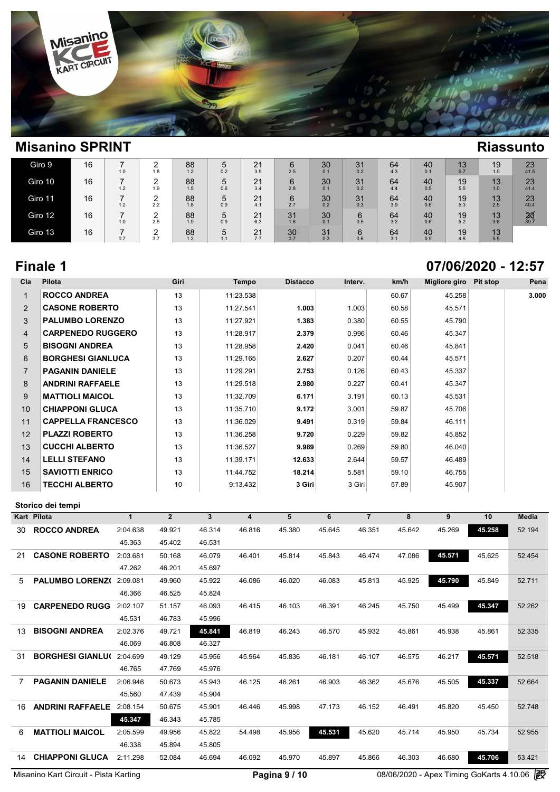

| Giro 9  | 16 | ⇁<br>1.0 | ⌒<br>1.8      | 88<br>1.2 | 5<br>0.2 | 21<br>3.5 | $6\phantom{1}6$<br>2.5 | 30<br>0.1 | 31<br>0.2 | 64<br>4.3 | 40<br>0.1 | 13<br>5.7 | 19<br>1.0 | 23<br>41.5        |
|---------|----|----------|---------------|-----------|----------|-----------|------------------------|-----------|-----------|-----------|-----------|-----------|-----------|-------------------|
| Giro 10 | 16 | ⇁<br>1.2 | $\sim$<br>1.9 | 88<br>1.5 | 5<br>0.6 | 21<br>3.4 | 6<br>2.8               | 30<br>0.1 | 31<br>0.2 | 64<br>4.4 | 40<br>0.5 | 19<br>5.5 | 13<br>1.0 | 23<br>41.4        |
| Giro 11 | 16 | -<br>1.2 | ົ<br>2.2      | 88<br>1.8 | 5<br>0.9 | 21<br>4.1 | 6<br>2.7               | 30<br>0.2 | 31<br>0.3 | 64<br>3.9 | 40<br>0.6 | 19<br>5.3 | 13<br>2.5 | 23<br>40.4        |
| Giro 12 | 16 | ⇁<br>1.0 | ົ<br>2.5      | 88<br>1.9 | 5<br>0.9 | 21<br>6.3 | 31<br>1.8              | 30<br>0.1 | 6<br>0.5  | 64<br>3.2 | 40<br>0.6 | 19<br>5.2 | 13<br>3.6 | $\frac{25}{39.7}$ |
| Giro 13 | 16 | ⇁<br>0.7 | ◠<br>3.7      | 88<br>1.2 | 5<br>1.1 | 21<br>7.7 | 30<br>0.7              | 31<br>0.3 | 6<br>0.6  | 64<br>3.1 | 40<br>0.9 | 19<br>4.8 | 13<br>5.5 |                   |

# **Finale 1 07/06/2020 - 12:57**

| Pilota                    | Giri | Tempo     | <b>Distacco</b> | Interv. | km/h  | Migliore giro | Pit stop | Pena  |
|---------------------------|------|-----------|-----------------|---------|-------|---------------|----------|-------|
| <b>ROCCO ANDREA</b>       | 13   | 11:23.538 |                 |         | 60.67 | 45.258        |          | 3.000 |
| <b>CASONE ROBERTO</b>     | 13   | 11:27.541 | 1.003           | 1.003   | 60.58 | 45.571        |          |       |
| <b>PALUMBO LORENZO</b>    | 13   | 11:27.921 | 1.383           | 0.380   | 60.55 | 45.790        |          |       |
| <b>CARPENEDO RUGGERO</b>  | 13   | 11:28.917 | 2.379           | 0.996   | 60.46 | 45.347        |          |       |
| <b>BISOGNI ANDREA</b>     | 13   | 11:28.958 | 2.420           | 0.041   | 60.46 | 45.841        |          |       |
| <b>BORGHESI GIANLUCA</b>  | 13   | 11:29.165 | 2.627           | 0.207   | 60.44 | 45.571        |          |       |
| <b>PAGANIN DANIELE</b>    | 13   | 11:29.291 | 2.753           | 0.126   | 60.43 | 45.337        |          |       |
| <b>ANDRINI RAFFAELE</b>   | 13   | 11:29.518 | 2.980           | 0.227   | 60.41 | 45.347        |          |       |
| <b>MATTIOLI MAICOL</b>    | 13   | 11:32.709 | 6.171           | 3.191   | 60.13 | 45.531        |          |       |
| <b>CHIAPPONI GLUCA</b>    | 13   | 11:35.710 | 9.172           | 3.001   | 59.87 | 45.706        |          |       |
| <b>CAPPELLA FRANCESCO</b> | 13   | 11:36.029 | 9.491           | 0.319   | 59.84 | 46.111        |          |       |
| <b>PLAZZI ROBERTO</b>     | 13   | 11:36.258 | 9.720           | 0.229   | 59.82 | 45.852        |          |       |
| <b>CUCCHI ALBERTO</b>     | 13   | 11:36.527 | 9.989           | 0.269   | 59.80 | 46.040        |          |       |
| <b>LELLI STEFANO</b>      | 13   | 11:39.171 | 12.633          | 2.644   | 59.57 | 46.489        |          |       |
| <b>SAVIOTTI ENRICO</b>    | 13   | 11:44.752 | 18.214          | 5.581   | 59.10 | 46.755        |          |       |
| <b>TECCHI ALBERTO</b>     | 10   | 9:13.432  | 3 Giri          | 3 Giri  | 57.89 | 45.907        |          |       |
|                           |      |           |                 |         |       |               |          |       |

|                | Storico dei tempi       |             |                |        |        |        |        |                |        |        |        |              |
|----------------|-------------------------|-------------|----------------|--------|--------|--------|--------|----------------|--------|--------|--------|--------------|
|                | <b>Kart Pilota</b>      | $\mathbf 1$ | $\overline{2}$ | 3      | 4      | 5      | 6      | $\overline{7}$ | 8      | 9      | 10     | <b>Media</b> |
| 30.            | <b>ROCCO ANDREA</b>     | 2:04.638    | 49.921         | 46.314 | 46.816 | 45.380 | 45.645 | 46.351         | 45.642 | 45.269 | 45.258 | 52.194       |
|                |                         | 45.363      | 45.402         | 46.531 |        |        |        |                |        |        |        |              |
| 21             | <b>CASONE ROBERTO</b>   | 2:03.681    | 50.168         | 46.079 | 46.401 | 45.814 | 45.843 | 46.474         | 47.086 | 45.571 | 45.625 | 52.454       |
|                |                         | 47.262      | 46.201         | 45.697 |        |        |        |                |        |        |        |              |
| $5^{\circ}$    | <b>PALUMBO LORENZO</b>  | 2:09.081    | 49.960         | 45.922 | 46.086 | 46.020 | 46.083 | 45.813         | 45.925 | 45.790 | 45.849 | 52.711       |
|                |                         | 46.366      | 46.525         | 45.824 |        |        |        |                |        |        |        |              |
| 19             | <b>CARPENEDO RUGG</b>   | 2:02.107    | 51.157         | 46.093 | 46.415 | 46.103 | 46.391 | 46.245         | 45.750 | 45.499 | 45.347 | 52.262       |
|                |                         | 45.531      | 46.783         | 45.996 |        |        |        |                |        |        |        |              |
| 13             | <b>BISOGNI ANDREA</b>   | 2:02.376    | 49.721         | 45.841 | 46.819 | 46.243 | 46.570 | 45.932         | 45.861 | 45.938 | 45.861 | 52.335       |
|                |                         | 46.069      | 46.808         | 46.327 |        |        |        |                |        |        |        |              |
| 31             | <b>BORGHESI GIANLU(</b> | 2:04.699    | 49.129         | 45.956 | 45.964 | 45.836 | 46.181 | 46.107         | 46.575 | 46.217 | 45.571 | 52.518       |
|                |                         | 46.765      | 47.769         | 45.976 |        |        |        |                |        |        |        |              |
| $\overline{7}$ | <b>PAGANIN DANIELE</b>  | 2:06.946    | 50.673         | 45.943 | 46.125 | 46.261 | 46.903 | 46.362         | 45.676 | 45.505 | 45.337 | 52.664       |
|                |                         | 45.560      | 47.439         | 45.904 |        |        |        |                |        |        |        |              |
| 16             | <b>ANDRINI RAFFAELE</b> | 2:08.154    | 50.675         | 45.901 | 46.446 | 45.998 | 47.173 | 46.152         | 46.491 | 45.820 | 45.450 | 52.748       |
|                |                         | 45.347      | 46.343         | 45.785 |        |        |        |                |        |        |        |              |
| 6              | <b>MATTIOLI MAICOL</b>  | 2:05.599    | 49.956         | 45.822 | 54.498 | 45.956 | 45.531 | 45.620         | 45.714 | 45.950 | 45.734 | 52.955       |
|                |                         | 46.338      | 45.894         | 45.805 |        |        |        |                |        |        |        |              |
| 14             | <b>CHIAPPONI GLUCA</b>  | 2:11.298    | 52.084         | 46.694 | 46.092 | 45.970 | 45.897 | 45.866         | 46.303 | 46.680 | 45.706 | 53.421       |
|                |                         |             |                |        |        |        |        |                |        |        |        |              |